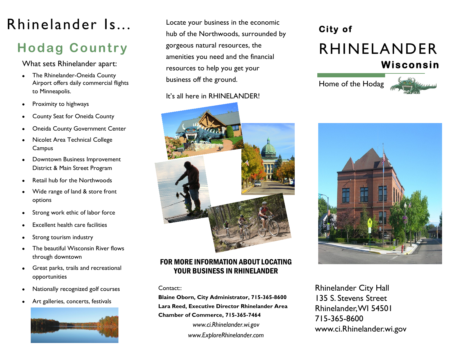# Rhinelander Is...

# **Hodag Country**

What sets Rhinelander apart:

- The Rhinelander-Oneida County Airport offers daily commercial flights to Minneapolis.
- Proximity to highways
- County Seat for Oneida County
- Oneida County Government Center
- Nicolet Area Technical College Campus
- Downtown Business Improvement District & Main Street Program
- Retail hub for the Northwoods
- Wide range of land & store front options
- Strong work ethic of labor force
- Excellent health care facilities
- Strong tourism industry
- The beautiful Wisconsin River flows through downtown
- Great parks, trails and recreational opportunities
- Nationally recognized golf courses
- Art galleries, concerts, festivals  $\bullet$



Locate your business in the economic hub of the Northwoods, surrounded by gorgeous natural resources, the amenities you need and the financial resources to help you get your business off the ground.

### It's all here in RHINELANDER!



## FOR MORE INFORMATION ABOUT LOCATING YOUR BUSINESS IN RHINELANDER

#### Contact::

**Blaine Oborn, City Administrator, 715-365-8600 Lara Reed, Executive Director Rhinelander Area Chamber of Commerce, 715-365-7464** *www.ci.Rhinelander.wi.gov www.ExploreRhinelander.com*

# **City of**  RHINELANDER **Wisconsin**

Home of the Hodag





www.ci.Rhinelander.wi.gov Rhinelander City Hall 715-365-8600 135 S. Stevens Street Rhinelander, WI 54501